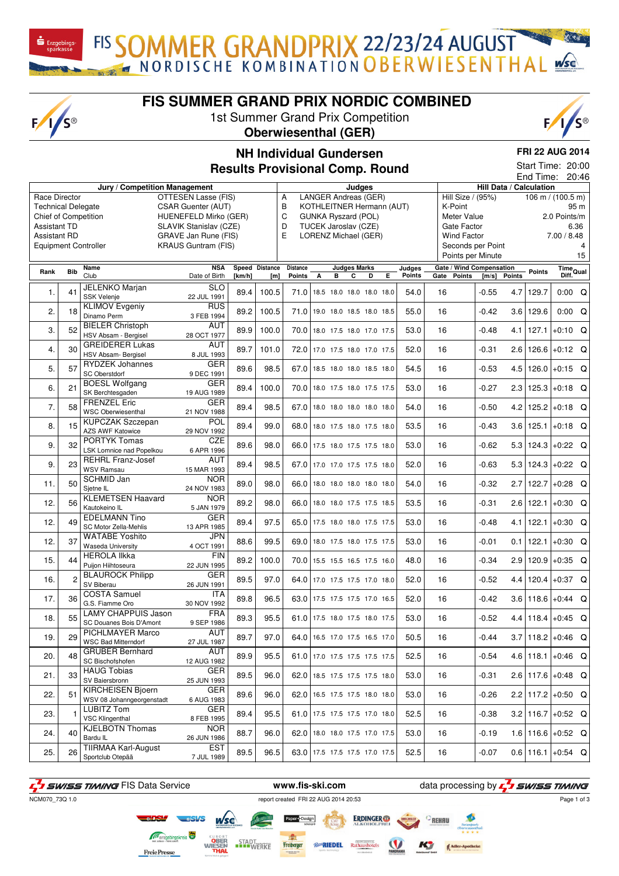$F/I/S^{\circledcirc}$ 

**FIS SUMMER GRAND PRIX NORDIC COMBINED**

FIS SOMMER GRANDPRIX 22/23/24 AUGUST

1st Summer Grand Prix Competition **Oberwiesenthal (GER)**



## **NH Individual Gundersen**

**FRI 22 AUG 2014** Start Time: 20:00

**Results Provisional Comp. Round**

|                                            |            |                               |                            | 20:46<br>End Time:<br>Hill Data / Calculation<br>Judges |                |                                 |   |                                                   |                     |   |   |               |      |                                 |         |        |               |                                 |      |
|--------------------------------------------|------------|-------------------------------|----------------------------|---------------------------------------------------------|----------------|---------------------------------|---|---------------------------------------------------|---------------------|---|---|---------------|------|---------------------------------|---------|--------|---------------|---------------------------------|------|
|                                            |            | Jury / Competition Management |                            |                                                         |                |                                 |   |                                                   |                     |   |   |               |      |                                 |         |        |               |                                 |      |
| Race Director<br><b>Technical Delegate</b> |            |                               | OTTESEN Lasse (FIS)        |                                                         |                | А<br>B                          |   | LANGER Andreas (GER)<br>KOTHLEITNER Hermann (AUT) |                     |   |   |               |      | Hill Size / (95%)<br>K-Point    |         |        |               | 106 m / $(100.\overline{5})$ m) |      |
|                                            |            |                               | CSAR Guenter (AUT)         |                                                         |                |                                 |   |                                                   |                     |   |   |               |      |                                 |         |        |               |                                 | 95 m |
| <b>Chief of Competition</b>                |            |                               | HUENEFELD Mirko (GER)      |                                                         |                | C                               |   | GUNKA Ryszard (POL)                               |                     |   |   |               |      | Meter Value                     |         |        |               | 2.0 Points/m                    |      |
| <b>Assistant TD</b>                        |            |                               | SLAVIK Stanislav (CZE)     |                                                         |                | D                               |   | TUCEK Jaroslav (CZE)                              |                     |   |   |               |      | Gate Factor                     |         |        |               |                                 | 6.36 |
| <b>Assistant RD</b>                        |            |                               | GRAVE Jan Rune (FIS)       |                                                         |                | E                               |   | LORENZ Michael (GER)                              |                     |   |   |               |      | Wind Factor                     |         |        |               | 7.00 / 8.48                     |      |
| <b>Equipment Controller</b>                |            |                               | <b>KRAUS Guntram (FIS)</b> |                                                         |                |                                 |   |                                                   |                     |   |   |               |      | Seconds per Point               |         |        |               |                                 | 4    |
|                                            |            |                               |                            |                                                         |                |                                 |   |                                                   |                     |   |   |               |      | Points per Minute               |         |        |               |                                 | 15   |
|                                            |            | Name                          | <b>NSA</b>                 |                                                         | Speed Distance | <b>Distance</b>                 |   |                                                   | <b>Judges Marks</b> |   |   | Judges        |      | <b>Gate / Wind Compensation</b> |         |        |               |                                 |      |
| Rank                                       | <b>Bib</b> | Club                          | Date of Birth              | [km/h]                                                  | [m]            | <b>Points</b>                   | А | в                                                 | С                   | D | Е | <b>Points</b> | Gate | <b>Points</b>                   | [m/s]   | Points | <b>Points</b> | Time<br>Diff.<br>Diff.          |      |
|                                            |            | JELENKO Marjan                | <b>SLO</b>                 |                                                         |                |                                 |   |                                                   |                     |   |   |               |      |                                 |         |        |               |                                 |      |
| 1.                                         | 41         | <b>SSK Velenje</b>            | 22 JUL 1991                | 89.4                                                    | 100.5          | 71.0                            |   | 18.5 18.0 18.0 18.0 18.0                          |                     |   |   | 54.0          | 16   |                                 | $-0.55$ | 4.7    | 129.7         | $0:00$ Q                        |      |
|                                            |            | <b>KLIMOV Evgeniy</b>         | RUS                        |                                                         |                |                                 |   |                                                   |                     |   |   |               |      |                                 |         |        |               |                                 |      |
| 2.                                         | 18         | Dinamo Perm                   | 3 FEB 1994                 | 89.2                                                    | 100.5          | 71.0                            |   | 19.0 18.0 18.5 18.0 18.5                          |                     |   |   | 55.0          | 16   |                                 | $-0.42$ |        | $3.6$ 129.6   | $0:00$ Q                        |      |
|                                            |            | <b>BIELER Christoph</b>       | AUT                        |                                                         |                |                                 |   |                                                   |                     |   |   |               |      |                                 |         |        |               |                                 |      |
| 3.                                         | 52         | HSV Absam - Bergisel          | 28 OCT 1977                | 89.9                                                    | 100.0          | 70.0 18.0 17.5 18.0 17.0 17.5   |   |                                                   |                     |   |   | 53.0          | 16   |                                 | $-0.48$ | 4.1    | 127.1         | $+0:10$ Q                       |      |
|                                            |            | <b>GREIDERER Lukas</b>        | AUT                        |                                                         |                |                                 |   |                                                   |                     |   |   |               |      |                                 |         |        |               |                                 |      |
| 4.                                         | 30         |                               |                            | 89.7                                                    | 101.0          | 72.0 17.0 17.5 18.0 17.0 17.5   |   |                                                   |                     |   |   | 52.0          | 16   |                                 | $-0.31$ | 2.6    | 126.6         | $+0.12$ Q                       |      |
|                                            |            | HSV Absam- Bergisel           | 8 JUL 1993                 |                                                         |                |                                 |   |                                                   |                     |   |   |               |      |                                 |         |        |               |                                 |      |
| 5.                                         | 57         | <b>RYDZEK Johannes</b>        | <b>GER</b>                 | 89.6                                                    | 98.5           | 67.0 18.5 18.0 18.0 18.5 18.0   |   |                                                   |                     |   |   | 54.5          | 16   |                                 | $-0.53$ | 4.5    | 126.0         | $+0:15$ Q                       |      |
|                                            |            | SC Oberstdorf                 | 9 DEC 1991                 |                                                         |                |                                 |   |                                                   |                     |   |   |               |      |                                 |         |        |               |                                 |      |
| 6.                                         | 21         | <b>BOESL Wolfgang</b>         | <b>GER</b>                 | 89.4                                                    | 100.0          | 70.0 18.0 17.5 18.0 17.5 17.5   |   |                                                   |                     |   |   | 53.0          | 16   |                                 | $-0.27$ | 2.3    | 125.3         | $+0.18$ Q                       |      |
|                                            |            | SK Berchtesgaden              | 19 AUG 1989                |                                                         |                |                                 |   |                                                   |                     |   |   |               |      |                                 |         |        |               |                                 |      |
| 7.                                         | 58         | <b>FRENZEL Eric</b>           | <b>GER</b>                 | 89.4                                                    | 98.5           | 67.0                            |   | 18.0 18.0 18.0 18.0 18.0                          |                     |   |   | 54.0          | 16   |                                 | $-0.50$ |        | 4.2 125.2     | $+0.18$ Q                       |      |
|                                            |            | <b>WSC Oberwiesenthal</b>     | 21 NOV 1988                |                                                         |                |                                 |   |                                                   |                     |   |   |               |      |                                 |         |        |               |                                 |      |
| 8.                                         | 15         | <b>KUPCZAK Szczepan</b>       | POL                        | 89.4                                                    | 99.0           | 68.0                            |   | 18.0 17.5 18.0 17.5 18.0                          |                     |   |   | 53.5          | 16   |                                 | $-0.43$ | 3.6    | 125.1         | $+0.18$ Q                       |      |
|                                            |            | AZS AWF Katowice              | 29 NOV 1992                |                                                         |                |                                 |   |                                                   |                     |   |   |               |      |                                 |         |        |               |                                 |      |
| 9.                                         | 32         | <b>PORTYK Tomas</b>           | CZE                        | 89.6                                                    | 98.0           | 66.0                            |   | 17.5 18.0 17.5 17.5 18.0                          |                     |   |   | 53.0          | 16   |                                 | $-0.62$ | 5.3    | 124.3         | $+0:22$ Q                       |      |
|                                            |            | LSK Lomnice nad Popelkou      | 6 APR 1996                 |                                                         |                |                                 |   |                                                   |                     |   |   |               |      |                                 |         |        |               |                                 |      |
| 9.                                         | 23         | <b>REHRL Franz-Josef</b>      | AUT                        | 89.4                                                    | 98.5           | 67.0                            |   | 17.0 17.0 17.5 17.5 18.0                          |                     |   |   | 52.0          | 16   |                                 | $-0.63$ | 5.3    | 124.3         | $+0.22$ Q                       |      |
|                                            |            | <b>WSV Ramsau</b>             | 15 MAR 1993                |                                                         |                |                                 |   |                                                   |                     |   |   |               |      |                                 |         |        |               |                                 |      |
|                                            | 50         | <b>SCHMID Jan</b>             | <b>NOR</b>                 | 89.0                                                    |                |                                 |   |                                                   |                     |   |   | 54.0          | 16   |                                 | $-0.32$ |        |               |                                 |      |
| 11.                                        |            | Sjetne IL                     | 24 NOV 1983                |                                                         | 98.0           | 66.0                            |   | 18.0 18.0 18.0 18.0 18.0                          |                     |   |   |               |      |                                 |         | 2.7    | 122.7         | $+0.28$ Q                       |      |
|                                            |            | <b>KLEMETSEN Haavard</b>      | <b>NOR</b>                 |                                                         |                |                                 |   |                                                   |                     |   |   |               |      |                                 |         |        |               |                                 |      |
| 12.                                        | 56         | Kautokeino IL                 | 5 JAN 1979                 | 89.2                                                    | 98.0           | 66.0 18.0 18.0 17.5 17.5 18.5   |   |                                                   |                     |   |   | 53.5          | 16   |                                 | $-0.31$ | 2.6    | 122.1         | $+0.30$ Q                       |      |
|                                            |            | <b>EDELMANN Tino</b>          | <b>GER</b>                 |                                                         |                |                                 |   |                                                   |                     |   |   |               |      |                                 |         |        |               |                                 |      |
| 12.                                        | 49         | SC Motor Zella-Mehlis         | 13 APR 1985                | 89.4                                                    | 97.5           | 65.0 17.5 18.0 18.0 17.5 17.5   |   |                                                   |                     |   |   | 53.0          | 16   |                                 | $-0.48$ | 4.1    | 122.1         | $+0:30$ Q                       |      |
|                                            |            | <b>WATABE Yoshito</b>         | JPN                        |                                                         |                |                                 |   |                                                   |                     |   |   |               |      |                                 |         |        |               |                                 |      |
| 12.                                        | 37         | Waseda University             | 4 OCT 1991                 | 88.6                                                    | 99.5           | 69.0 18.0 17.5 18.0 17.5 17.5   |   |                                                   |                     |   |   | 53.0          | 16   |                                 | -0.01   | 0.1    | 122.1         | $+0:30$ Q                       |      |
|                                            |            | <b>HEROLA IIkka</b>           | <b>FIN</b>                 |                                                         |                |                                 |   |                                                   |                     |   |   |               |      |                                 |         |        |               |                                 |      |
| 15.                                        | 44         | Puijon Hiihtoseura            | 22 JUN 1995                | 89.2                                                    | 100.0          | 70.0 15.5 15.5 16.5 17.5 16.0   |   |                                                   |                     |   |   | 48.0          | 16   |                                 | $-0.34$ |        | 2.9 120.9     | $+0.35$ Q                       |      |
|                                            |            | <b>BLAUROCK Philipp</b>       | <b>GER</b>                 |                                                         |                |                                 |   |                                                   |                     |   |   |               |      |                                 |         |        |               |                                 |      |
| 16.                                        |            | SV Biberau                    | 26 JUN 1991                | 89.5                                                    | 97.0           | 64.0 17.0 17.5 17.5 17.0 18.0   |   |                                                   |                     |   |   | 52.0          | 16   |                                 | $-0.52$ |        | 4.4 120.4     | $+0.37$ Q                       |      |
|                                            |            | <b>COSTA Samuel</b>           | ITA                        |                                                         |                |                                 |   |                                                   |                     |   |   |               |      |                                 |         |        |               |                                 |      |
| 17.                                        | 36         | G.S. Fiamme Oro               | 30 NOV 1992                | 89.8                                                    | 96.5           | 63.0 17.5 17.5 17.5 17.0 16.5   |   |                                                   |                     |   |   | 52.0          | 16   |                                 | $-0.42$ | 3.6    | 118.6         | $+0.44$ Q                       |      |
|                                            |            | <b>LAMY CHAPPUIS Jason</b>    | FRA                        |                                                         |                |                                 |   |                                                   |                     |   |   |               |      |                                 |         |        |               |                                 |      |
| 18.                                        | 55         | SC Douanes Bois D'Amont       | 9 SEP 1986                 | 89.3                                                    | 95.5           | 61.0 17.5 18.0 17.5 18.0 17.5   |   |                                                   |                     |   |   | 53.0          | 16   |                                 | $-0.52$ |        | 4.4 118.4     | $+0:45$ Q                       |      |
|                                            |            | <b>PICHLMAYER Marco</b>       | <b>AUT</b>                 |                                                         |                |                                 |   |                                                   |                     |   |   |               |      |                                 |         |        |               |                                 |      |
| 19.                                        | 29         | WSC Bad Mitterndorf           | 27 JUL 1987                | 89.7                                                    | 97.0           | 64.0 16.5 17.0 17.5 16.5 17.0   |   |                                                   |                     |   |   | 50.5          | 16   |                                 | $-0.44$ |        |               | $3.7$ 118.2 + 0:46 Q            |      |
|                                            |            | <b>GRUBER Bernhard</b>        | AUT                        |                                                         |                |                                 |   |                                                   |                     |   |   |               |      |                                 |         |        |               |                                 |      |
| 20.                                        | 48         | SC Bischofshofen              | 12 AUG 1982                | 89.9                                                    | 95.5           | 61.0 17.0 17.5 17.5 17.5 17.5   |   |                                                   |                     |   |   | 52.5          | 16   |                                 | $-0.54$ |        |               | $4.6$   118.1   +0:46 Q         |      |
|                                            |            | <b>HAUG Tobias</b>            | GER                        |                                                         |                |                                 |   |                                                   |                     |   |   |               |      |                                 |         |        |               |                                 |      |
| 21.                                        | 33         | SV Baiersbronn                | 25 JUN 1993                | 89.5                                                    | 96.0           | 62.0 18.5 17.5 17.5 17.5 18.0   |   |                                                   |                     |   |   | 53.0          | 16   |                                 | -0.31   |        |               | $2.6$ 117.6 + 0:48 Q            |      |
|                                            |            | <b>KIRCHEISEN Bjoern</b>      | <b>GER</b>                 |                                                         |                |                                 |   |                                                   |                     |   |   |               |      |                                 |         |        |               |                                 |      |
| 22.                                        | 51         | WSV 08 Johanngeorgenstadt     | 6 AUG 1983                 | 89.6                                                    | 96.0           | 62.0                            |   | 16.5 17.5 17.5 18.0 18.0                          |                     |   |   | 53.0          | 16   |                                 | $-0.26$ |        |               | $2.2$ 117.2 + 0:50 Q            |      |
|                                            |            | LUBITZ Tom                    | <b>GER</b>                 |                                                         |                |                                 |   |                                                   |                     |   |   |               |      |                                 |         |        |               |                                 |      |
| 23.                                        | 1          | VSC Klingenthal               | 8 FEB 1995                 | 89.4                                                    | 95.5           | 61.0                            |   | 17.5 17.5 17.5 17.0 18.0                          |                     |   |   | 52.5          | 16   |                                 | $-0.38$ |        |               | $3.2$   116.7   +0:52 Q         |      |
|                                            |            | <b>KJELBOTN Thomas</b>        | NOR                        |                                                         |                |                                 |   |                                                   |                     |   |   |               |      |                                 |         |        |               |                                 |      |
| 24.                                        | 40         | Bardu IL                      | 26 JUN 1986                | 88.7                                                    | 96.0           | 62.0   18.0 18.0 17.5 17.0 17.5 |   |                                                   |                     |   |   | 53.0          | 16   |                                 | -0.19   |        |               | 1.6   116.6   +0:52 Q           |      |
|                                            |            | <b>TIIRMAA Karl-August</b>    | <b>EST</b>                 |                                                         |                |                                 |   |                                                   |                     |   |   |               |      |                                 |         |        |               |                                 |      |
| 25.                                        | 26         | Sportclub Otepää              | 7 JUL 1989                 | 89.5                                                    | 96.5           | 63.0 17.5 17.5 17.5 17.0 17.5   |   |                                                   |                     |   |   | 52.5          | 16   |                                 | $-0.07$ |        |               | $0.6$ 116.1 + 0:54 Q            |      |
|                                            |            |                               |                            |                                                         |                |                                 |   |                                                   |                     |   |   |               |      |                                 |         |        |               |                                 |      |

F<sub>1</sub> SWISS TIMING FIS Data Service **www.fis-ski.com** data processing by F<sub>1</sub> SWISS TIMING

**FreiePresse** 

ncm070\_73Q 1.0<br>NCM070\_73Q 1.0

*Ro*RIEDEL

Freiberger<br>Freiberger

**STADT**<br>WERKE

**ERDINGER** 

Rathausho

Page 1 of 3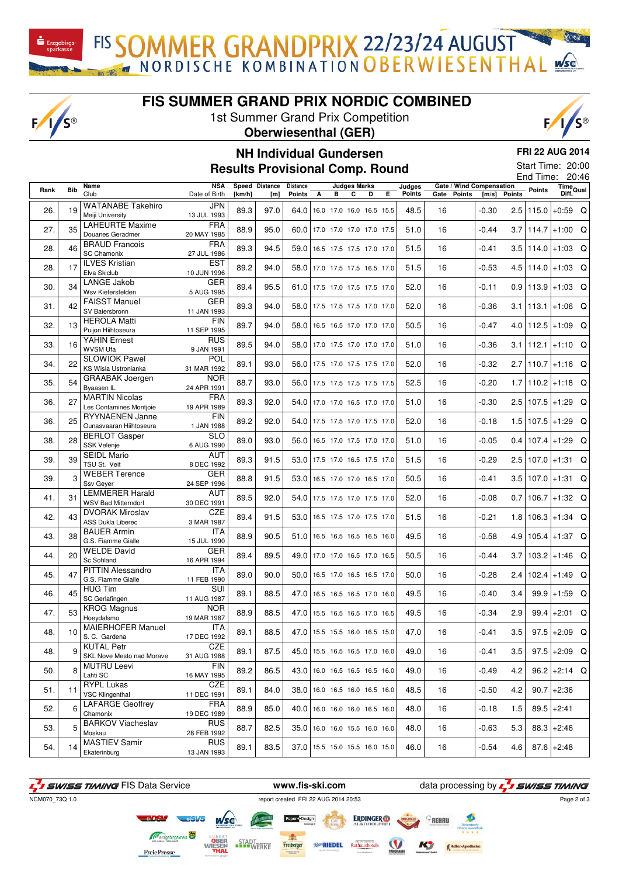FIS SOMMER GRANDPRIX 22/23/24 AUGUST

### **FIS SUMMER GRAND PRIX NORDIC COMBINED**

1st Summer Grand Prix Competition

 $F/I/S^{\circledcirc}$ 

### **Oberwiesenthal (GER)**



# **NH Individual Gundersen**

**FRI 22 AUG 2014**

## **Results Provisional Comp. Round**

Start Time: 20:00 End Time: 20:46

| Rank | <b>Bib</b> | Name<br>Club                                   | <b>NSA</b><br>Date of Birth | [km/h] | Speed Distance<br>[m] | Distance<br><b>Points</b> | А | <b>Judges Marks</b><br>в        | С | D | Е. | Judges<br>Points | Gate / Wind Compensation<br>Gate<br><b>Points</b> | [m/s]   | <b>Points</b> | <b>Points</b> | Time<br>Diff. <sup>Qual</sup> |  |
|------|------------|------------------------------------------------|-----------------------------|--------|-----------------------|---------------------------|---|---------------------------------|---|---|----|------------------|---------------------------------------------------|---------|---------------|---------------|-------------------------------|--|
|      |            |                                                |                             |        |                       |                           |   |                                 |   |   |    |                  |                                                   |         |               |               |                               |  |
| 26.  | 19         | <b>WATANABE Takehiro</b>                       | <b>JPN</b>                  | 89.3   | 97.0                  | 64.0                      |   | 16.0 17.0 16.0 16.5 15.5        |   |   |    | 48.5             | 16                                                | $-0.30$ |               | 2.5   115.0   | $+0.59$ Q                     |  |
|      |            | Meiji University                               | 13 JUL 1993                 |        |                       |                           |   |                                 |   |   |    |                  |                                                   |         |               |               |                               |  |
| 27.  | 35         | <b>LAHEURTE Maxime</b>                         | <b>FRA</b>                  | 88.9   | 95.0                  |                           |   | 60.0 17.0 17.0 17.0 17.0 17.5   |   |   |    | 51.0             | 16                                                | $-0.44$ |               |               | $3.7$  114.7 +1:00 Q          |  |
|      |            | Douanes Geradmer                               | 20 MAY 1985                 |        |                       |                           |   |                                 |   |   |    |                  |                                                   |         |               |               |                               |  |
| 28.  | 46         | <b>BRAUD Francois</b>                          | <b>FRA</b>                  | 89.3   | 94.5                  | 59.0                      |   | 16.5 17.5 17.5 17.0 17.0        |   |   |    | 51.5             | 16                                                | -0.41   |               |               | 3.5 114.0 + 1:03 Q            |  |
|      |            | <b>SC Chamonix</b>                             | 27 JUL 1986                 |        |                       |                           |   |                                 |   |   |    |                  |                                                   |         |               |               |                               |  |
| 28.  | 17         | <b>ILVES Kristian</b><br>Elva Skiclub          | <b>EST</b>                  | 89.2   | 94.0                  |                           |   | 58.0 17.0 17.5 17.5 16.5 17.0   |   |   |    | 51.5             | 16                                                | $-0.53$ |               |               | $4.5$   114.0   +1:03 Q       |  |
|      |            | LANGE Jakob                                    | 10 JUN 1996<br><b>GER</b>   |        |                       |                           |   |                                 |   |   |    |                  |                                                   |         |               |               |                               |  |
| 30.  | 34         | Wsv Kiefersfelden                              | 5 AUG 1995                  | 89.4   | 95.5                  |                           |   | 61.0 17.5 17.0 17.5 17.5 17.0   |   |   |    | 52.0             | 16                                                | -0.11   |               |               | $0.9$   113.9   +1:03 Q       |  |
|      |            | <b>FAISST Manuel</b>                           | <b>GER</b>                  |        |                       |                           |   |                                 |   |   |    |                  |                                                   |         |               |               |                               |  |
| 31.  | 42         | SV Baiersbronn                                 | 11 JAN 1993                 | 89.3   | 94.0                  |                           |   | 58.0 17.5 17.5 17.5 17.0 17.0   |   |   |    | 52.0             | 16                                                | $-0.36$ |               |               | $3.1 \mid 113.1 \mid +1:06$ Q |  |
|      |            | <b>HEROLA Matti</b>                            | <b>FIN</b>                  |        |                       |                           |   |                                 |   |   |    |                  |                                                   |         |               |               |                               |  |
| 32.  | 13         | Puijon Hiihtoseura                             | 11 SEP 1995                 | 89.7   | 94.0                  |                           |   | 58.0 16.5 16.5 17.0 17.0 17.0   |   |   |    | 50.5             | 16                                                | $-0.47$ |               |               | $4.0$   112.5   +1:09 Q       |  |
|      |            | <b>YAHIN</b> Ernest                            | <b>RUS</b>                  |        |                       |                           |   |                                 |   |   |    |                  |                                                   |         |               |               |                               |  |
| 33.  | 16         | <b>WVSM Ufa</b>                                | 9 JAN 1991                  | 89.5   | 94.0                  |                           |   | 58.0 17.0 17.5 17.0 17.0 17.0   |   |   |    | 51.0             | 16                                                | $-0.36$ |               |               | $3.1 \mid 112.1 \mid +1:10$ Q |  |
| 34.  | 22         | <b>SLOWIOK Pawel</b>                           | <b>POL</b>                  | 89.1   | 93.0                  |                           |   | 56.0 17.5 17.0 17.5 17.5 17.0   |   |   |    | 52.0             | 16                                                | $-0.32$ |               |               | $2.7$  110.7 +1:16 Q          |  |
|      |            | KS Wisla Ustronianka                           | 31 MAR 1992                 |        |                       |                           |   |                                 |   |   |    |                  |                                                   |         |               |               |                               |  |
| 35.  | 54         | <b>GRAABAK</b> Joergen                         | NOR                         | 88.7   | 93.0                  |                           |   | 56.0 17.5 17.5 17.5 17.5 17.5   |   |   |    | 52.5             | 16                                                | $-0.20$ |               |               | $1.7$  110.2 +1:18 Q          |  |
|      |            | Byaasen IL                                     | 24 APR 1991                 |        |                       |                           |   |                                 |   |   |    |                  |                                                   |         |               |               |                               |  |
| 36.  | 27         | <b>MARTIN Nicolas</b>                          | FRA                         | 89.3   | 92.0                  |                           |   | 54.0 17.0 17.0 16.5 17.0 17.0   |   |   |    | 51.0             | 16                                                | $-0.30$ |               |               | $2.5$   107.5   +1:29 Q       |  |
|      |            | Les Contamines Montjoie                        | 19 APR 1989                 |        |                       |                           |   |                                 |   |   |    |                  |                                                   |         |               |               |                               |  |
| 36.  | 25         | RYYNAENEN Janne<br>Ounasvaaran Hiihtoseura     | <b>FIN</b><br>1 JAN 1988    | 89.2   | 92.0                  |                           |   | 54.0 17.5 17.5 17.0 17.5 17.0   |   |   |    | 52.0             | 16                                                | $-0.18$ |               |               | $1.5 107.5 +1:29$ Q           |  |
|      |            | <b>BERLOT Gasper</b>                           | <b>SLO</b>                  |        |                       |                           |   |                                 |   |   |    |                  |                                                   |         |               |               |                               |  |
| 38.  | 28         | <b>SSK Velenje</b>                             | 6 AUG 1990                  | 89.0   | 93.0                  |                           |   | 56.0 16.5 17.0 17.5 17.0 17.0   |   |   |    | 51.0             | 16                                                | $-0.05$ |               |               | $0.4$   107.4   +1:29 Q       |  |
|      |            | <b>SEIDL Mario</b>                             | AUT                         |        |                       |                           |   |                                 |   |   |    |                  |                                                   |         |               |               |                               |  |
| 39.  | 39         | TSU St. Veit                                   | 8 DEC 1992                  | 89.3   | 91.5                  |                           |   | 53.0 17.5 17.0 16.5 17.5 17.0   |   |   |    | 51.5             | 16                                                | $-0.29$ |               |               | 2.5 107.0 + 1:31 Q            |  |
| 39.  | 3          | <b>WEBER Terence</b>                           | <b>GER</b>                  | 88.8   | 91.5                  |                           |   | 53.0 16.5 17.0 17.0 16.5 17.0   |   |   |    | 50.5             | 16                                                | $-0.41$ |               |               | 3.5 107.0 + 1:31 Q            |  |
|      |            | Ssv Geyer                                      | 24 SEP 1996                 |        |                       |                           |   |                                 |   |   |    |                  |                                                   |         |               |               |                               |  |
| 41.  | 31         | <b>LEMMERER Harald</b>                         | <b>AUT</b>                  | 89.5   | 92.0                  |                           |   | 54.0 17.5 17.5 17.0 17.5 17.0   |   |   |    | 52.0             | 16                                                | $-0.08$ | 0.7           |               | $106.7 + 1:32$ Q              |  |
|      |            | <b>WSV Bad Mitterndorf</b>                     | 30 DEC 1991                 |        |                       |                           |   |                                 |   |   |    |                  |                                                   |         |               |               |                               |  |
| 42.  | 43         | <b>DVORAK Miroslav</b>                         | <b>CZE</b>                  | 89.4   | 91.5                  |                           |   | 53.0 16.5 17.5 17.0 17.5 17.0   |   |   |    | 51.5             | 16                                                | $-0.21$ |               |               | $1.8$   106.3   + 1:34 Q      |  |
|      |            | <b>ASS Dukla Liberec</b><br><b>BAUER Armin</b> | 3 MAR 1987<br>ITA           |        |                       |                           |   |                                 |   |   |    |                  |                                                   |         |               |               |                               |  |
| 43.  | 38         | G.S. Fiamme Gialle                             | 15 JUL 1990                 | 88.9   | 90.5                  | 51.0                      |   | 16.5 16.5 16.5 16.5 16.0        |   |   |    | 49.5             | 16                                                | $-0.58$ |               |               | $4.9$   105.4   +1:37 Q       |  |
|      |            | <b>WELDE David</b>                             | <b>GER</b>                  |        |                       |                           |   |                                 |   |   |    |                  |                                                   |         |               |               |                               |  |
| 44.  | 20         | Sc Sohland                                     | 16 APR 1994                 | 89.4   | 89.5                  |                           |   | 49.0 17.0 17.0 16.5 17.0 16.5   |   |   |    | 50.5             | 16                                                | $-0.44$ |               |               | $3.7$ 103.2 +1:46 Q           |  |
|      |            | <b>PITTIN Alessandro</b>                       | ITA                         |        |                       |                           |   |                                 |   |   |    |                  |                                                   |         |               |               |                               |  |
| 45.  | 47         | G.S. Fiamme Gialle                             | 11 FEB 1990                 | 89.0   | 90.0                  |                           |   | 50.0 16.5 17.0 16.5 16.5 17.0   |   |   |    | 50.0             | 16                                                | $-0.28$ |               |               | $2.4$   102.4   +1:49 Q       |  |
| 46.  | 45         | <b>HUG Tim</b>                                 | SUI                         | 89.1   | 88.5                  |                           |   | 47.0 16.5 16.5 16.5 17.0 16.0   |   |   |    | 49.5             | 16                                                | $-0.40$ | 3.4           |               | $99.9$ +1:59 Q                |  |
|      |            | SC Gerlafingen                                 | 11 AUG 1987                 |        |                       |                           |   |                                 |   |   |    |                  |                                                   |         |               |               |                               |  |
| 47.  | 53         | <b>KROG Magnus</b>                             | <b>NOR</b>                  | 88.9   | 88.5                  |                           |   | 47.0 15.5 16.5 16.5 17.0 16.5   |   |   |    | 49.5             | 16                                                | $-0.34$ | 2.9           |               | 99.4 + 2:01 Q                 |  |
|      |            | Hoeydalsmo                                     | 19 MAR 1987                 |        |                       |                           |   |                                 |   |   |    |                  |                                                   |         |               |               |                               |  |
| 48.  | 10         | <b>MAIERHOFER Manuel</b><br>S.C. Gardena       | ITA<br>17 DEC 1992          | 89.1   | 88.5                  |                           |   | 47.0 15.5 15.5 16.0 16.5 15.0   |   |   |    | 47.0             | 16                                                | $-0.41$ | 3.5           |               | $97.5 + 2:09$ Q               |  |
|      |            | <b>KUTAL Petr</b>                              | CZE                         |        |                       |                           |   |                                 |   |   |    |                  |                                                   |         |               |               |                               |  |
| 48.  | 9          | SKL Nove Mesto nad Morave                      | 31 AUG 1988                 | 89.1   | 87.5                  |                           |   | 45.0 15.5 16.5 16.5 17.0 16.0   |   |   |    | 49.0             | 16                                                | $-0.41$ | 3.5           |               | 97.5 +2:09 Q                  |  |
|      |            | <b>MUTRU Leevi</b>                             | <b>FIN</b>                  |        |                       |                           |   |                                 |   |   |    |                  |                                                   |         |               |               |                               |  |
| 50.  | 8          | Lahti SC                                       | 16 MAY 1995                 | 89.2   | 86.5                  |                           |   | 43.0 16.0 16.5 16.5 16.5 16.0   |   |   |    | 49.0             | 16                                                | $-0.49$ | 4.2           |               | 96.2 + 2:14 Q                 |  |
|      |            | <b>RYPL Lukas</b>                              | CZE                         |        |                       |                           |   |                                 |   |   |    |                  |                                                   |         |               |               |                               |  |
| 51.  | 11         | <b>VSC Klingenthal</b>                         | 11 DEC 1991                 | 89.1   | 84.0                  |                           |   | 38.0   16.0 16.5 16.0 16.5 16.0 |   |   |    | 48.5             | 16                                                | -0.50   | 4.2           |               | $90.7$ +2:36                  |  |
| 52.  | 6          | <b>LAFARGE Geoffrey</b>                        | FRA                         | 88.9   | 85.0                  |                           |   | 40.0 16.0 16.0 16.0 16.5 16.0   |   |   |    | 48.0             | 16                                                | -0.18   | 1.5           |               | $89.5 + 2:41$                 |  |
|      |            | Chamonix                                       | 19 DEC 1989                 |        |                       |                           |   |                                 |   |   |    |                  |                                                   |         |               |               |                               |  |
| 53.  | 5          | <b>BARKOV Viacheslav</b>                       | <b>RUS</b>                  | 88.7   | 82.5                  |                           |   | 35.0 16.0 16.0 15.5 16.0 16.0   |   |   |    | 48.0             | 16                                                | $-0.63$ | 5.3           |               | $88.3 \mid +2:46$             |  |
|      |            | Moskau<br><b>MASTIEV Samir</b>                 | 28 FEB 1992<br><b>RUS</b>   |        |                       |                           |   |                                 |   |   |    |                  |                                                   |         |               |               |                               |  |
| 54.  | 14         | Ekaterinburg                                   | 13 JAN 1993                 | 89.1   | 83.5                  |                           |   | 37.0 15.5 15.0 15.5 16.0 15.0   |   |   |    | 46.0             | 16                                                | $-0.54$ | 4.6           |               | $87.6$ +2:48                  |  |
|      |            |                                                |                             |        |                       |                           |   |                                 |   |   |    |                  |                                                   |         |               |               |                               |  |

F<sub>1</sub> SWISS TIMING FIS Data Service **www.fis-ski.com** data processing by F<sub>1</sub> SWISS TIMING ncm070\_73Q 1.0<br>NCM070\_73Q 1.0 Page 2 of 3**ERDINGER**<sup>®</sup> Freiberger<br>Freiberger **STADT**<br>WERKE *Ro*RIEDEL Rathausho

**FreiePresse**